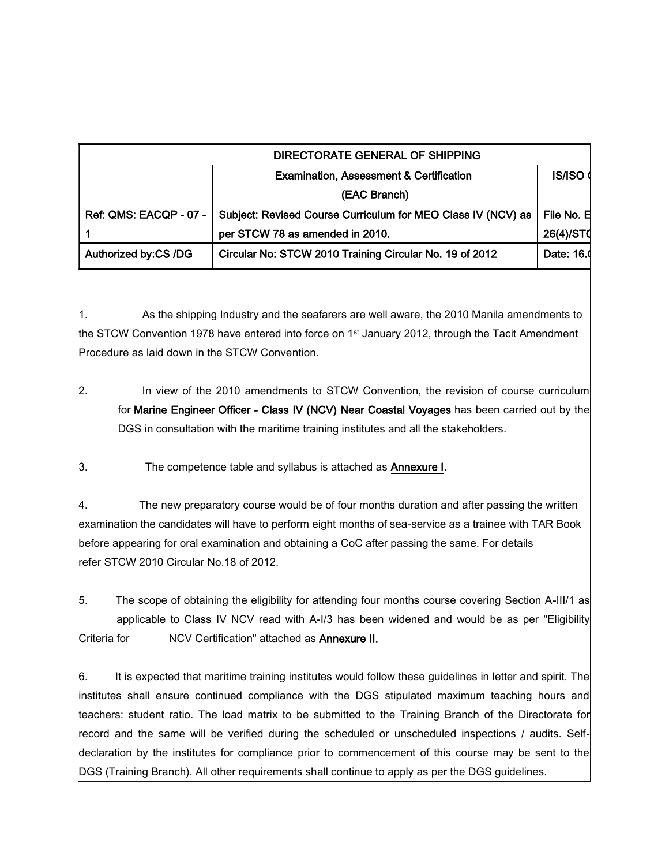| DIRECTORATE GENERAL OF SHIPPING |                                                              |               |  |
|---------------------------------|--------------------------------------------------------------|---------------|--|
|                                 | <b>Examination, Assessment &amp; Certification</b>           | <b>IS/ISO</b> |  |
|                                 | (EAC Branch)                                                 |               |  |
| Ref: QMS: EACQP - 07 -          | Subject: Revised Course Curriculum for MEO Class IV (NCV) as | File No. E    |  |
|                                 | per STCW 78 as amended in 2010.                              | 26(4)/ST0     |  |
| Authorized by:CS /DG            | Circular No: STCW 2010 Training Circular No. 19 of 2012      | Date: 16.     |  |
|                                 |                                                              |               |  |

1. As the shipping Industry and the seafarers are well aware, the 2010 Manila amendments to the STCW Convention 1978 have entered into force on 1<sup>st</sup> January 2012, through the Tacit Amendment Procedure as laid down in the STCW Convention.

2. In view of the 2010 amendments to STCW Convention, the revision of course curriculum for Marine Engineer Officer - Class IV (NCV) Near Coastal Voyages has been carried out by the DGS in consultation with the maritime training institutes and all the stakeholders.

3. The competence table and syllabus is attached as **Annexure I**.

4. The new preparatory course would be of four months duration and after passing the written examination the candidates will have to perform eight months of sea-service as a trainee with TAR Book before appearing for oral examination and obtaining a CoC after passing the same. For details refer STCW 2010 Circular No.18 of 2012.

5. The scope of obtaining the eligibility for attending four months course covering Section A-III/1 as applicable to Class IV NCV read with A-I/3 has been widened and would be as per "Eligibility Criteria for MCV Certification" attached as **Annexure II.** 

6. It is expected that maritime training institutes would follow these guidelines in letter and spirit. The institutes shall ensure continued compliance with the DGS stipulated maximum teaching hours and teachers: student ratio. The load matrix to be submitted to the Training Branch of the Directorate for record and the same will be verified during the scheduled or unscheduled inspections / audits. Selfdeclaration by the institutes for compliance prior to commencement of this course may be sent to the DGS (Training Branch). All other requirements shall continue to apply as per the DGS guidelines.